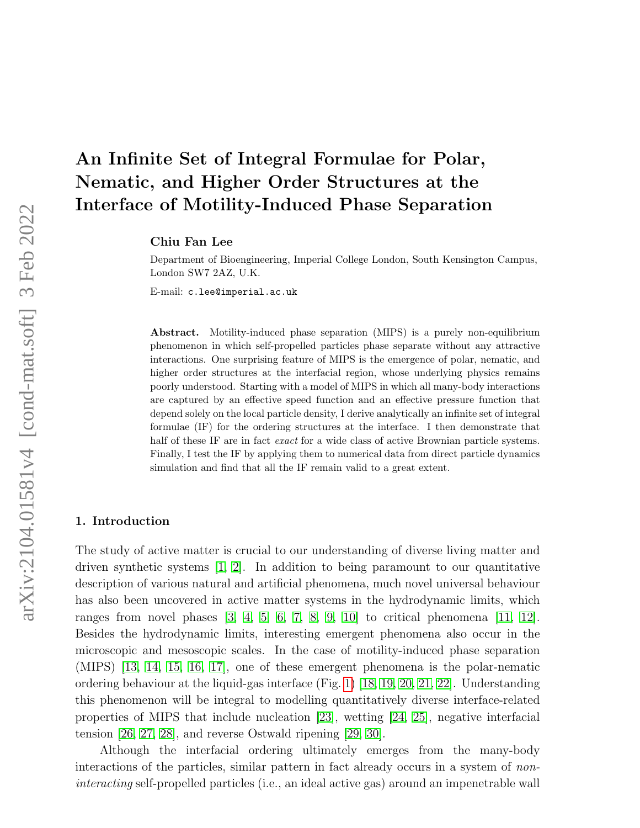# An Infinite Set of Integral Formulae for Polar, Nematic, and Higher Order Structures at the Interface of Motility-Induced Phase Separation

Chiu Fan Lee

Department of Bioengineering, Imperial College London, South Kensington Campus, London SW7 2AZ, U.K.

E-mail: c.lee@imperial.ac.uk

Abstract. Motility-induced phase separation (MIPS) is a purely non-equilibrium phenomenon in which self-propelled particles phase separate without any attractive interactions. One surprising feature of MIPS is the emergence of polar, nematic, and higher order structures at the interfacial region, whose underlying physics remains poorly understood. Starting with a model of MIPS in which all many-body interactions are captured by an effective speed function and an effective pressure function that depend solely on the local particle density, I derive analytically an infinite set of integral formulae (IF) for the ordering structures at the interface. I then demonstrate that half of these IF are in fact *exact* for a wide class of active Brownian particle systems. Finally, I test the IF by applying them to numerical data from direct particle dynamics simulation and find that all the IF remain valid to a great extent.

### 1. Introduction

The study of active matter is crucial to our understanding of diverse living matter and driven synthetic systems [\[1,](#page-9-0) [2\]](#page-9-1). In addition to being paramount to our quantitative description of various natural and artificial phenomena, much novel universal behaviour has also been uncovered in active matter systems in the hydrodynamic limits, which ranges from novel phases  $\begin{bmatrix} 3, 4, 5, 6, 7, 8, 9, 10 \end{bmatrix}$  $\begin{bmatrix} 3, 4, 5, 6, 7, 8, 9, 10 \end{bmatrix}$  $\begin{bmatrix} 3, 4, 5, 6, 7, 8, 9, 10 \end{bmatrix}$  $\begin{bmatrix} 3, 4, 5, 6, 7, 8, 9, 10 \end{bmatrix}$  $\begin{bmatrix} 3, 4, 5, 6, 7, 8, 9, 10 \end{bmatrix}$  $\begin{bmatrix} 3, 4, 5, 6, 7, 8, 9, 10 \end{bmatrix}$  $\begin{bmatrix} 3, 4, 5, 6, 7, 8, 9, 10 \end{bmatrix}$  $\begin{bmatrix} 3, 4, 5, 6, 7, 8, 9, 10 \end{bmatrix}$  to critical phenomena  $\begin{bmatrix} 11, 12 \end{bmatrix}$ . Besides the hydrodynamic limits, interesting emergent phenomena also occur in the microscopic and mesoscopic scales. In the case of motility-induced phase separation (MIPS) [\[13,](#page-9-12) [14,](#page-9-13) [15,](#page-10-0) [16,](#page-10-1) [17\]](#page-10-2), one of these emergent phenomena is the polar-nematic ordering behaviour at the liquid-gas interface (Fig. [1\)](#page-1-0) [\[18,](#page-10-3) [19,](#page-10-4) [20,](#page-10-5) [21,](#page-10-6) [22\]](#page-10-7). Understanding this phenomenon will be integral to modelling quantitatively diverse interface-related properties of MIPS that include nucleation [\[23\]](#page-10-8), wetting [\[24,](#page-10-9) [25\]](#page-10-10), negative interfacial tension [\[26,](#page-10-11) [27,](#page-10-12) [28\]](#page-10-13), and reverse Ostwald ripening [\[29,](#page-10-14) [30\]](#page-10-15).

Although the interfacial ordering ultimately emerges from the many-body interactions of the particles, similar pattern in fact already occurs in a system of noninteracting self-propelled particles (i.e., an ideal active gas) around an impenetrable wall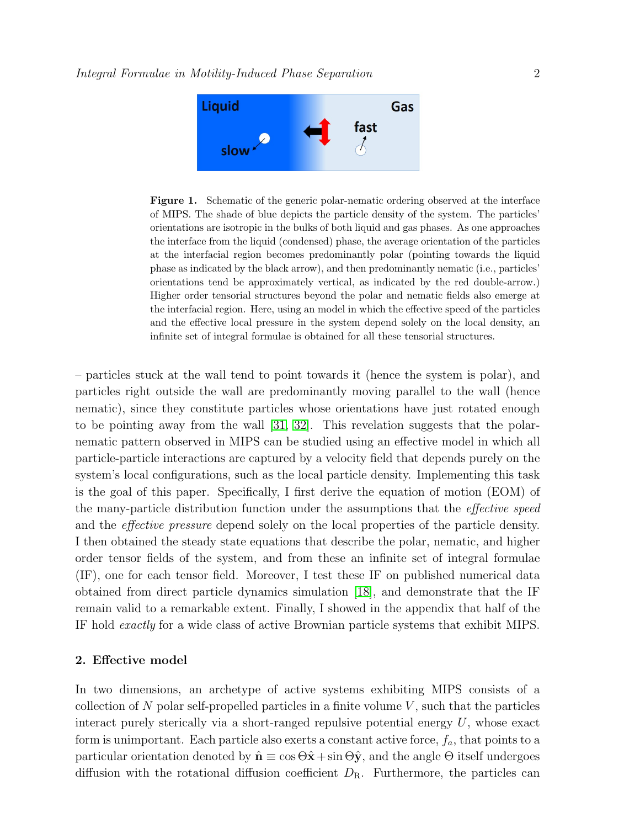

<span id="page-1-0"></span>Figure 1. Schematic of the generic polar-nematic ordering observed at the interface of MIPS. The shade of blue depicts the particle density of the system. The particles' orientations are isotropic in the bulks of both liquid and gas phases. As one approaches the interface from the liquid (condensed) phase, the average orientation of the particles at the interfacial region becomes predominantly polar (pointing towards the liquid phase as indicated by the black arrow), and then predominantly nematic (i.e., particles' orientations tend be approximately vertical, as indicated by the red double-arrow.) Higher order tensorial structures beyond the polar and nematic fields also emerge at the interfacial region. Here, using an model in which the effective speed of the particles and the effective local pressure in the system depend solely on the local density, an infinite set of integral formulae is obtained for all these tensorial structures.

– particles stuck at the wall tend to point towards it (hence the system is polar), and particles right outside the wall are predominantly moving parallel to the wall (hence nematic), since they constitute particles whose orientations have just rotated enough to be pointing away from the wall [\[31,](#page-10-16) [32\]](#page-10-17). This revelation suggests that the polarnematic pattern observed in MIPS can be studied using an effective model in which all particle-particle interactions are captured by a velocity field that depends purely on the system's local configurations, such as the local particle density. Implementing this task is the goal of this paper. Specifically, I first derive the equation of motion (EOM) of the many-particle distribution function under the assumptions that the effective speed and the effective pressure depend solely on the local properties of the particle density. I then obtained the steady state equations that describe the polar, nematic, and higher order tensor fields of the system, and from these an infinite set of integral formulae (IF), one for each tensor field. Moreover, I test these IF on published numerical data obtained from direct particle dynamics simulation [\[18\]](#page-10-3), and demonstrate that the IF remain valid to a remarkable extent. Finally, I showed in the appendix that half of the IF hold exactly for a wide class of active Brownian particle systems that exhibit MIPS.

## 2. Effective model

In two dimensions, an archetype of active systems exhibiting MIPS consists of a collection of N polar self-propelled particles in a finite volume  $V$ , such that the particles interact purely sterically via a short-ranged repulsive potential energy  $U$ , whose exact form is unimportant. Each particle also exerts a constant active force,  $f_a$ , that points to a particular orientation denoted by  $\hat{\mathbf{n}} \equiv \cos \Theta \hat{\mathbf{x}} + \sin \Theta \hat{\mathbf{y}}$ , and the angle  $\Theta$  itself undergoes diffusion with the rotational diffusion coefficient  $D_{\rm R}$ . Furthermore, the particles can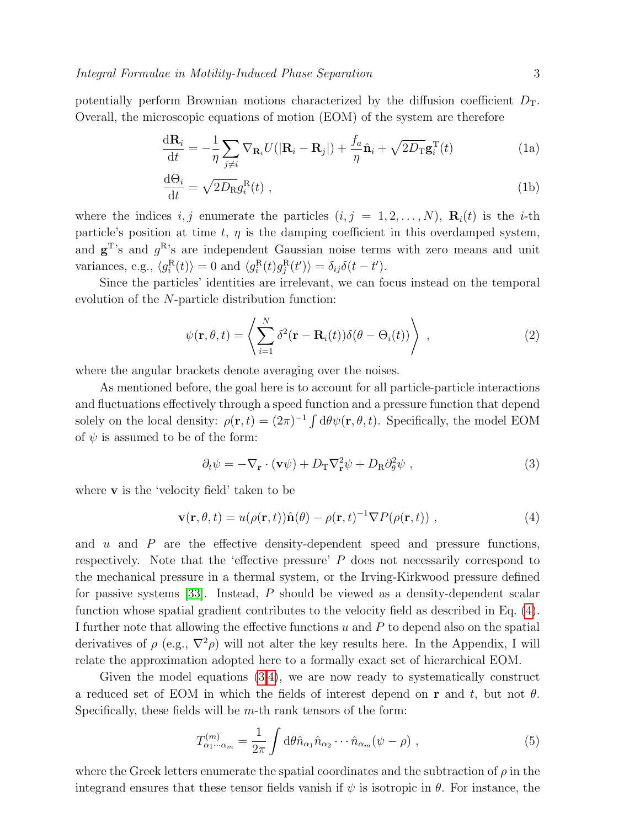potentially perform Brownian motions characterized by the diffusion coefficient  $D_T$ . Overall, the microscopic equations of motion (EOM) of the system are therefore

$$
\frac{\mathrm{d}\mathbf{R}_i}{\mathrm{d}t} = -\frac{1}{\eta} \sum_{j \neq i} \nabla_{\mathbf{R}_i} U(|\mathbf{R}_i - \mathbf{R}_j|) + \frac{f_a}{\eta} \hat{\mathbf{n}}_i + \sqrt{2D_{\mathrm{T}}} \mathbf{g}_i^{\mathrm{T}}(t)
$$
(1a)

$$
\frac{\mathrm{d}\Theta_i}{\mathrm{d}t} = \sqrt{2D_{\mathrm{R}}}g_i^{\mathrm{R}}(t) \tag{1b}
$$

where the indices i, j enumerate the particles  $(i, j = 1, 2, \ldots, N)$ ,  $\mathbf{R}_i(t)$  is the i-th particle's position at time t,  $\eta$  is the damping coefficient in this overdamped system, and  $\mathbf{g}^{\mathrm{T}}$ 's and  $g^{\mathrm{R}}$ 's are independent Gaussian noise terms with zero means and unit variances, e.g.,  $\langle g_i^{\text{R}}(t) \rangle = 0$  and  $\langle g_i^{\text{R}}(t) g_j^{\text{R}}(t') \rangle = \delta_{ij} \delta(t - t')$ .

Since the particles' identities are irrelevant, we can focus instead on the temporal evolution of the N-particle distribution function:

<span id="page-2-3"></span>
$$
\psi(\mathbf{r}, \theta, t) = \left\langle \sum_{i=1}^{N} \delta^2(\mathbf{r} - \mathbf{R}_i(t)) \delta(\theta - \Theta_i(t)) \right\rangle , \qquad (2)
$$

where the angular brackets denote averaging over the noises.

As mentioned before, the goal here is to account for all particle-particle interactions and fluctuations effectively through a speed function and a pressure function that depend solely on the local density:  $\rho(\mathbf{r},t) = (2\pi)^{-1} \int d\theta \psi(\mathbf{r},\theta,t)$ . Specifically, the model EOM of  $\psi$  is assumed to be of the form:

<span id="page-2-1"></span>
$$
\partial_t \psi = -\nabla_{\mathbf{r}} \cdot (\mathbf{v}\psi) + D_{\mathrm{T}} \nabla_{\mathbf{r}}^2 \psi + D_{\mathrm{R}} \partial_{\theta}^2 \psi , \qquad (3)
$$

where v is the 'velocity field' taken to be

<span id="page-2-0"></span>
$$
\mathbf{v}(\mathbf{r},\theta,t) = u(\rho(\mathbf{r},t))\hat{\mathbf{n}}(\theta) - \rho(\mathbf{r},t)^{-1}\nabla P(\rho(\mathbf{r},t)),
$$
\n(4)

and u and P are the effective density-dependent speed and pressure functions, respectively. Note that the 'effective pressure' P does not necessarily correspond to the mechanical pressure in a thermal system, or the Irving-Kirkwood pressure defined for passive systems [\[33\]](#page-10-18). Instead, P should be viewed as a density-dependent scalar function whose spatial gradient contributes to the velocity field as described in Eq. [\(4\)](#page-2-0). I further note that allowing the effective functions  $u$  and  $P$  to depend also on the spatial derivatives of  $\rho$  (e.g.,  $\nabla^2 \rho$ ) will not alter the key results here. In the Appendix, I will relate the approximation adopted here to a formally exact set of hierarchical EOM.

Given the model equations [\(3,](#page-2-1)[4\)](#page-2-0), we are now ready to systematically construct a reduced set of EOM in which the fields of interest depend on r and t, but not  $\theta$ . Specifically, these fields will be  $m$ -th rank tensors of the form:

<span id="page-2-2"></span>
$$
T_{\alpha_1\cdots\alpha_m}^{(m)} = \frac{1}{2\pi} \int d\theta \hat{n}_{\alpha_1} \hat{n}_{\alpha_2} \cdots \hat{n}_{\alpha_m} (\psi - \rho) , \qquad (5)
$$

where the Greek letters enumerate the spatial coordinates and the subtraction of  $\rho$  in the integrand ensures that these tensor fields vanish if  $\psi$  is isotropic in  $\theta$ . For instance, the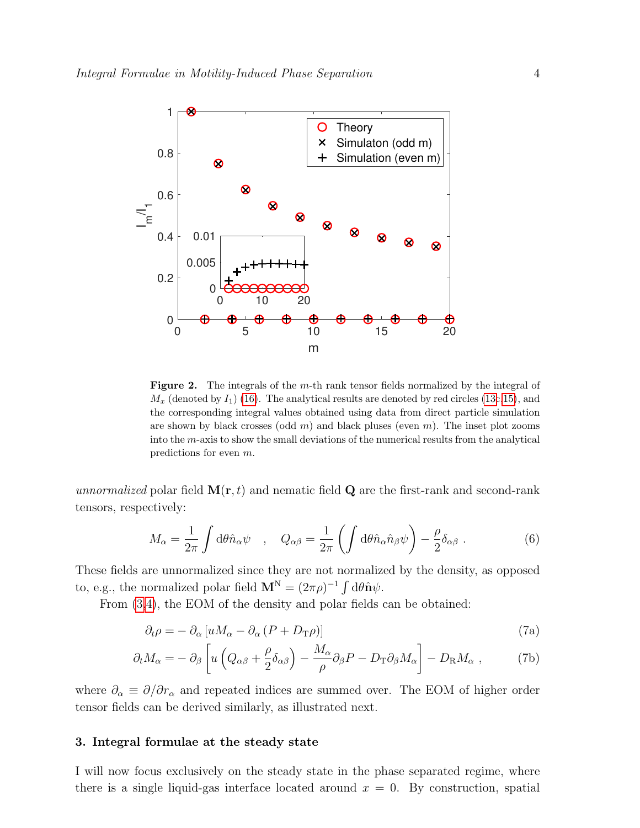

<span id="page-3-0"></span>Figure 2. The integrals of the m-th rank tensor fields normalized by the integral of  $M_x$  (denoted by  $I_1$ ) [\(16\)](#page-5-0). The analytical results are denoted by red circles [\(13c](#page-4-0)[,15\)](#page-5-1), and the corresponding integral values obtained using data from direct particle simulation are shown by black crosses (odd  $m$ ) and black pluses (even  $m$ ). The inset plot zooms into the  $m$ -axis to show the small deviations of the numerical results from the analytical predictions for even m.

unnormalized polar field  $\mathbf{M}(\mathbf{r},t)$  and nematic field Q are the first-rank and second-rank tensors, respectively:

$$
M_{\alpha} = \frac{1}{2\pi} \int d\theta \hat{n}_{\alpha} \psi \quad , \quad Q_{\alpha\beta} = \frac{1}{2\pi} \left( \int d\theta \hat{n}_{\alpha} \hat{n}_{\beta} \psi \right) - \frac{\rho}{2} \delta_{\alpha\beta} \ . \tag{6}
$$

These fields are unnormalized since they are not normalized by the density, as opposed to, e.g., the normalized polar field  $\mathbf{M}^{N} = (2\pi\rho)^{-1} \int d\theta \hat{\mathbf{n}} \psi$ .

From  $(3,4)$  $(3,4)$ , the EOM of the density and polar fields can be obtained:

$$
\partial_t \rho = - \partial_\alpha \left[ u M_\alpha - \partial_\alpha \left( P + D_\text{T} \rho \right) \right] \tag{7a}
$$

$$
\partial_t M_\alpha = - \partial_\beta \left[ u \left( Q_{\alpha\beta} + \frac{\rho}{2} \delta_{\alpha\beta} \right) - \frac{M_\alpha}{\rho} \partial_\beta P - D_\text{T} \partial_\beta M_\alpha \right] - D_\text{R} M_\alpha \;, \tag{7b}
$$

where  $\partial_{\alpha} \equiv \partial/\partial r_{\alpha}$  and repeated indices are summed over. The EOM of higher order tensor fields can be derived similarly, as illustrated next.

### 3. Integral formulae at the steady state

I will now focus exclusively on the steady state in the phase separated regime, where there is a single liquid-gas interface located around  $x = 0$ . By construction, spatial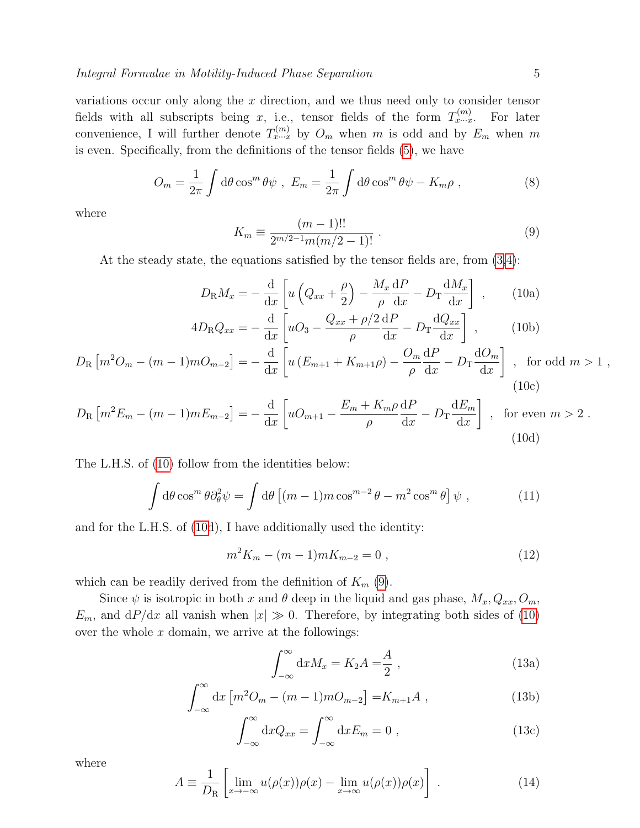variations occur only along the x direction, and we thus need only to consider tensor fields with all subscripts being x, i.e., tensor fields of the form  $T_{x\cdots x}^{(m)}$ For later convenience, I will further denote  $T_{x\cdots x}^{(m)}$  by  $O_m$  when m is odd and by  $E_m$  when m is even. Specifically, from the definitions of the tensor fields [\(5\)](#page-2-2), we have

$$
O_m = \frac{1}{2\pi} \int d\theta \cos^m \theta \psi , E_m = \frac{1}{2\pi} \int d\theta \cos^m \theta \psi - K_m \rho , \qquad (8)
$$

where

<span id="page-4-2"></span><span id="page-4-1"></span>
$$
K_m \equiv \frac{(m-1)!!}{2^{m/2-1}m(m/2-1)!} \ . \tag{9}
$$

At the steady state, the equations satisfied by the tensor fields are, from [\(3](#page-2-1)[,4\)](#page-2-0):

$$
D_{\rm R}M_x = -\frac{\mathrm{d}}{\mathrm{d}x} \left[ u \left( Q_{xx} + \frac{\rho}{2} \right) - \frac{M_x}{\rho} \frac{\mathrm{d}P}{\mathrm{d}x} - D_{\rm T} \frac{\mathrm{d}M_x}{\mathrm{d}x} \right] , \qquad (10a)
$$
  

$$
4D_{\rm R}Q_{xx} = -\frac{\mathrm{d}}{\mathrm{d}x} \left[ uO_3 - \frac{Q_{xx} + \rho/2}{\rho} \frac{\mathrm{d}P}{\mathrm{d}x} - D_{\rm T} \frac{\mathrm{d}Q_{xx}}{\mathrm{d}x} \right] , \qquad (10b)
$$

$$
D_{\rm R} \left[ m^2 O_m - (m-1) m O_{m-2} \right] = -\frac{\mathrm{d}}{\mathrm{d}x} \left[ u \left( E_{m+1} + K_{m+1} \rho \right) - \frac{O_m}{\rho} \frac{\mathrm{d}P}{\mathrm{d}x} - D_{\rm T} \frac{\mathrm{d}O_m}{\mathrm{d}x} \right] , \text{ for odd } m > 1 ,
$$
\n(10c)

$$
D_{\rm R} \left[ m^2 E_m - (m-1)m E_{m-2} \right] = -\frac{\mathrm{d}}{\mathrm{d}x} \left[ u O_{m+1} - \frac{E_m + K_m \rho}{\rho} \frac{\mathrm{d}P}{\mathrm{d}x} - D_{\rm T} \frac{\mathrm{d}E_m}{\mathrm{d}x} \right] , \text{ for even } m > 2 .
$$
\n(10d)

The L.H.S. of [\(10\)](#page-4-1) follow from the identities below:

$$
\int d\theta \cos^m \theta \partial_\theta^2 \psi = \int d\theta \left[ (m-1)m \cos^{m-2} \theta - m^2 \cos^m \theta \right] \psi , \qquad (11)
$$

and for the L.H.S. of [\(10d](#page-4-1)), I have additionally used the identity:

$$
m^2 K_m - (m-1)m K_{m-2} = 0 , \t\t(12)
$$

which can be readily derived from the definition of  $K_m$  [\(9\)](#page-4-2).

Since  $\psi$  is isotropic in both x and  $\theta$  deep in the liquid and gas phase,  $M_x, Q_{xx}, O_m$ ,  $E_m$ , and  $dP/dx$  all vanish when  $|x| \gg 0$ . Therefore, by integrating both sides of [\(10\)](#page-4-1) over the whole  $x$  domain, we arrive at the followings:

<span id="page-4-0"></span>
$$
\int_{-\infty}^{\infty} dx M_x = K_2 A = \frac{A}{2} , \qquad (13a)
$$

$$
\int_{-\infty}^{\infty} dx \left[ m^2 O_m - (m-1)m O_{m-2} \right] = K_{m+1} A , \qquad (13b)
$$

$$
\int_{-\infty}^{\infty} dx Q_{xx} = \int_{-\infty}^{\infty} dx E_m = 0 , \qquad (13c)
$$

where

$$
A \equiv \frac{1}{D_{\rm R}} \left[ \lim_{x \to -\infty} u(\rho(x))\rho(x) - \lim_{x \to \infty} u(\rho(x))\rho(x) \right] \ . \tag{14}
$$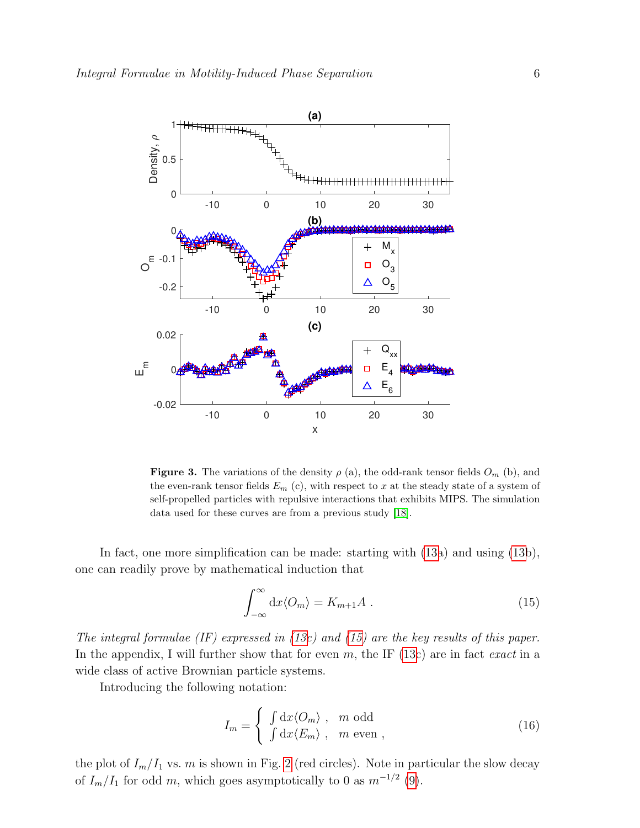

<span id="page-5-2"></span>**Figure 3.** The variations of the density  $\rho$  (a), the odd-rank tensor fields  $O_m$  (b), and the even-rank tensor fields  $E_m$  (c), with respect to x at the steady state of a system of self-propelled particles with repulsive interactions that exhibits MIPS. The simulation data used for these curves are from a previous study [\[18\]](#page-10-3).

In fact, one more simplification can be made: starting with [\(13a](#page-4-0)) and using [\(13b](#page-4-0)), one can readily prove by mathematical induction that

<span id="page-5-1"></span>
$$
\int_{-\infty}^{\infty} dx \langle O_m \rangle = K_{m+1} A . \qquad (15)
$$

The integral formulae  $(IF)$  expressed in  $(13c)$  $(13c)$  and  $(15)$  are the key results of this paper. In the appendix, I will further show that for even m, the IF  $(13c)$  $(13c)$  are in fact exact in a wide class of active Brownian particle systems.

Introducing the following notation:

<span id="page-5-0"></span>
$$
I_m = \begin{cases} \int dx \langle O_m \rangle, & m \text{ odd} \\ \int dx \langle E_m \rangle, & m \text{ even} \end{cases}
$$
 (16)

the plot of  $I_m/I_1$  vs. m is shown in Fig. [2](#page-3-0) (red circles). Note in particular the slow decay of  $I_m/I_1$  for odd m, which goes asymptotically to 0 as  $m^{-1/2}$  [\(9\)](#page-4-2).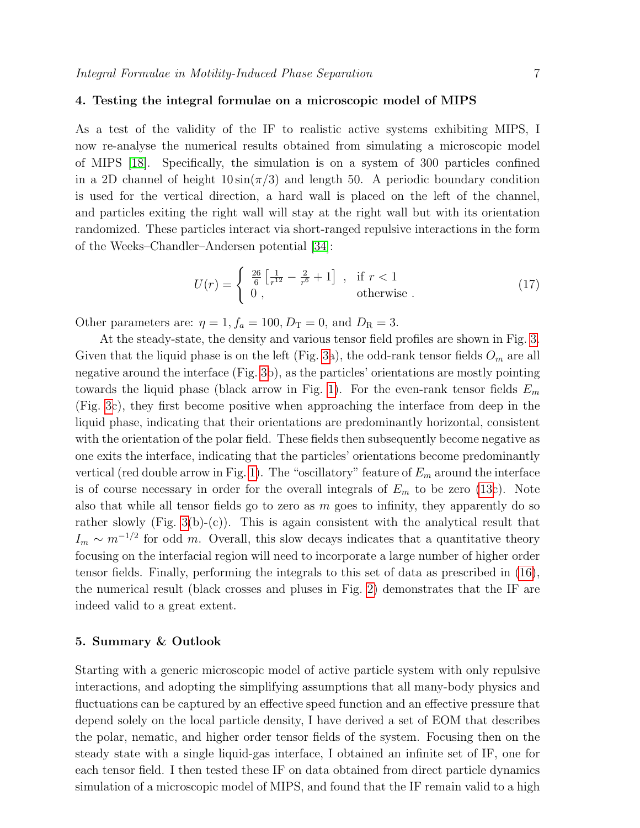## 4. Testing the integral formulae on a microscopic model of MIPS

As a test of the validity of the IF to realistic active systems exhibiting MIPS, I now re-analyse the numerical results obtained from simulating a microscopic model of MIPS [\[18\]](#page-10-3). Specifically, the simulation is on a system of 300 particles confined in a 2D channel of height  $10 \sin(\pi/3)$  and length 50. A periodic boundary condition is used for the vertical direction, a hard wall is placed on the left of the channel, and particles exiting the right wall will stay at the right wall but with its orientation randomized. These particles interact via short-ranged repulsive interactions in the form of the Weeks–Chandler–Andersen potential [\[34\]](#page-10-19):

$$
U(r) = \begin{cases} \frac{26}{6} \left[ \frac{1}{r^{12}} - \frac{2}{r^6} + 1 \right] , & \text{if } r < 1\\ 0 , & \text{otherwise} \end{cases}
$$
 (17)

Other parameters are:  $\eta = 1, f_a = 100, D<sub>T</sub> = 0$ , and  $D<sub>R</sub> = 3$ .

At the steady-state, the density and various tensor field profiles are shown in Fig. [3.](#page-5-2) Given that the liquid phase is on the left (Fig. [3a](#page-5-2)), the odd-rank tensor fields  $O_m$  are all negative around the interface (Fig. [3b](#page-5-2)), as the particles' orientations are mostly pointing towards the liquid phase (black arrow in Fig. [1\)](#page-1-0). For the even-rank tensor fields  $E_m$ (Fig. [3c](#page-5-2)), they first become positive when approaching the interface from deep in the liquid phase, indicating that their orientations are predominantly horizontal, consistent with the orientation of the polar field. These fields then subsequently become negative as one exits the interface, indicating that the particles' orientations become predominantly vertical (red double arrow in Fig. [1\)](#page-1-0). The "oscillatory" feature of  $E_m$  around the interface is of course necessary in order for the overall integrals of  $E_m$  to be zero [\(13c](#page-4-0)). Note also that while all tensor fields go to zero as  $m$  goes to infinity, they apparently do so rather slowly (Fig. [3\(](#page-5-2)b)-(c)). This is again consistent with the analytical result that  $I_m \sim m^{-1/2}$  for odd m. Overall, this slow decays indicates that a quantitative theory focusing on the interfacial region will need to incorporate a large number of higher order tensor fields. Finally, performing the integrals to this set of data as prescribed in [\(16\)](#page-5-0), the numerical result (black crosses and pluses in Fig. [2\)](#page-3-0) demonstrates that the IF are indeed valid to a great extent.

### 5. Summary & Outlook

Starting with a generic microscopic model of active particle system with only repulsive interactions, and adopting the simplifying assumptions that all many-body physics and fluctuations can be captured by an effective speed function and an effective pressure that depend solely on the local particle density, I have derived a set of EOM that describes the polar, nematic, and higher order tensor fields of the system. Focusing then on the steady state with a single liquid-gas interface, I obtained an infinite set of IF, one for each tensor field. I then tested these IF on data obtained from direct particle dynamics simulation of a microscopic model of MIPS, and found that the IF remain valid to a high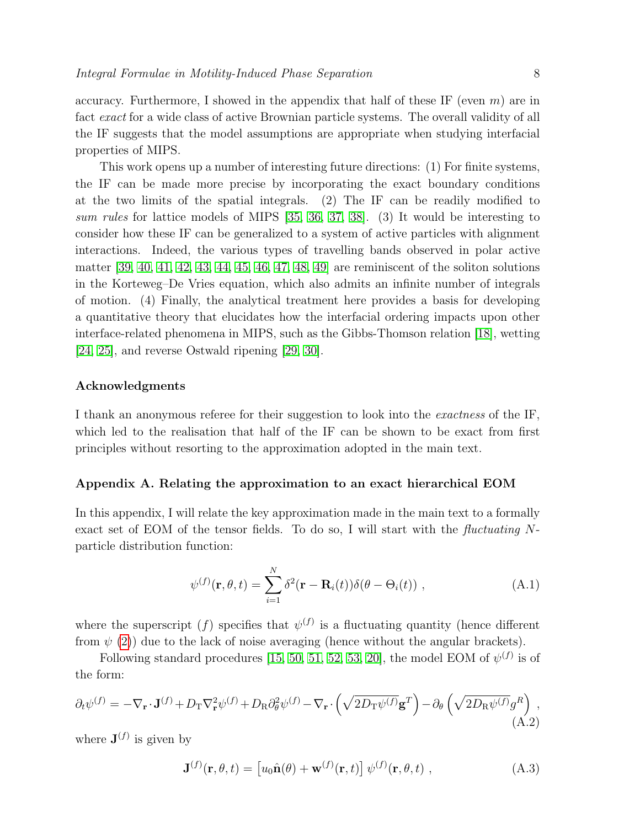accuracy. Furthermore, I showed in the appendix that half of these IF (even  $m$ ) are in fact exact for a wide class of active Brownian particle systems. The overall validity of all the IF suggests that the model assumptions are appropriate when studying interfacial properties of MIPS.

This work opens up a number of interesting future directions: (1) For finite systems, the IF can be made more precise by incorporating the exact boundary conditions at the two limits of the spatial integrals. (2) The IF can be readily modified to sum rules for lattice models of MIPS [\[35,](#page-10-20) [36,](#page-10-21) [37,](#page-10-22) [38\]](#page-10-23). (3) It would be interesting to consider how these IF can be generalized to a system of active particles with alignment interactions. Indeed, the various types of travelling bands observed in polar active matter [\[39,](#page-11-0) [40,](#page-11-1) [41,](#page-11-2) [42,](#page-11-3) [43,](#page-11-4) [44,](#page-11-5) [45,](#page-11-6) [46,](#page-11-7) [47,](#page-11-8) [48,](#page-11-9) [49\]](#page-11-10) are reminiscent of the soliton solutions in the Korteweg–De Vries equation, which also admits an infinite number of integrals of motion. (4) Finally, the analytical treatment here provides a basis for developing a quantitative theory that elucidates how the interfacial ordering impacts upon other interface-related phenomena in MIPS, such as the Gibbs-Thomson relation [\[18\]](#page-10-3), wetting [\[24,](#page-10-9) [25\]](#page-10-10), and reverse Ostwald ripening [\[29,](#page-10-14) [30\]](#page-10-15).

## Acknowledgments

I thank an anonymous referee for their suggestion to look into the exactness of the IF, which led to the realisation that half of the IF can be shown to be exact from first principles without resorting to the approximation adopted in the main text.

#### Appendix A. Relating the approximation to an exact hierarchical EOM

In this appendix, I will relate the key approximation made in the main text to a formally exact set of EOM of the tensor fields. To do so, I will start with the fluctuating  $N$ particle distribution function:

$$
\psi^{(f)}(\mathbf{r}, \theta, t) = \sum_{i=1}^{N} \delta^2(\mathbf{r} - \mathbf{R}_i(t)) \delta(\theta - \Theta_i(t)), \qquad (A.1)
$$

where the superscript  $(f)$  specifies that  $\psi^{(f)}$  is a fluctuating quantity (hence different from  $\psi$  [\(2\)](#page-2-3)) due to the lack of noise averaging (hence without the angular brackets).

Following standard procedures [\[15,](#page-10-0) [50,](#page-11-11) [51,](#page-11-12) [52,](#page-11-13) [53,](#page-11-14) [20\]](#page-10-5), the model EOM of  $\psi^{(f)}$  is of the form:

<span id="page-7-0"></span>
$$
\partial_t \psi^{(f)} = -\nabla_{\mathbf{r}} \cdot \mathbf{J}^{(f)} + D_{\mathrm{T}} \nabla_{\mathbf{r}}^2 \psi^{(f)} + D_{\mathrm{R}} \partial_{\theta}^2 \psi^{(f)} - \nabla_{\mathbf{r}} \cdot \left( \sqrt{2D_{\mathrm{T}} \psi^{(f)}} \mathbf{g}^T \right) - \partial_{\theta} \left( \sqrt{2D_{\mathrm{R}} \psi^{(f)}} g^R \right) , \tag{A.2}
$$

where  $\mathbf{J}^{(f)}$  is given by

<span id="page-7-1"></span>
$$
\mathbf{J}^{(f)}(\mathbf{r},\theta,t) = \left[ u_0 \hat{\mathbf{n}}(\theta) + \mathbf{w}^{(f)}(\mathbf{r},t) \right] \psi^{(f)}(\mathbf{r},\theta,t) , \qquad (A.3)
$$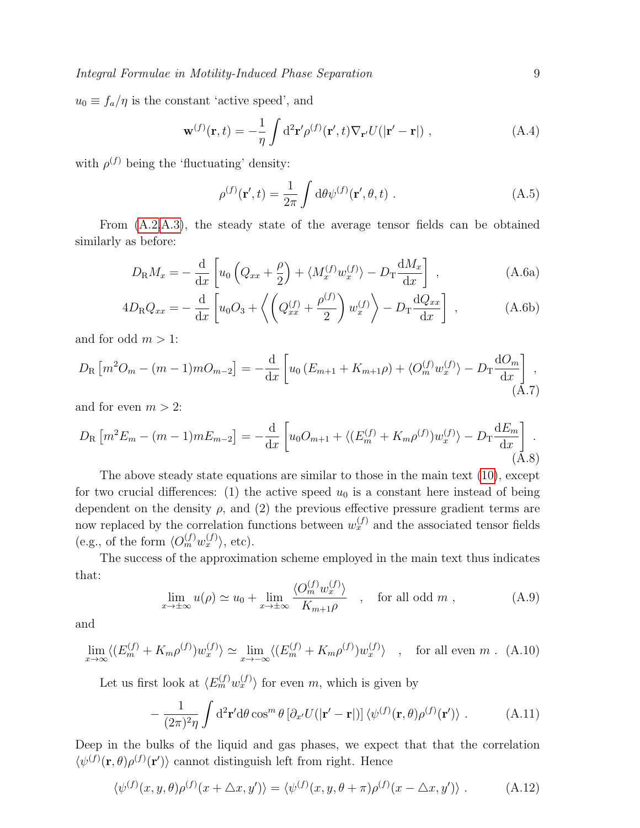$u_0 \equiv f_a/\eta$  is the constant 'active speed', and

$$
\mathbf{w}^{(f)}(\mathbf{r},t) = -\frac{1}{\eta} \int d^2 \mathbf{r}' \rho^{(f)}(\mathbf{r}',t) \nabla_{\mathbf{r}'} U(|\mathbf{r}'-\mathbf{r}|) , \qquad (A.4)
$$

with  $\rho^{(f)}$  being the 'fluctuating' density:

$$
\rho^{(f)}(\mathbf{r}',t) = \frac{1}{2\pi} \int d\theta \psi^{(f)}(\mathbf{r}',\theta,t) . \tag{A.5}
$$

From [\(A.2,](#page-7-0)[A.3\)](#page-7-1), the steady state of the average tensor fields can be obtained similarly as before:

$$
D_{\rm R}M_x = -\frac{\mathrm{d}}{\mathrm{d}x} \left[ u_0 \left( Q_{xx} + \frac{\rho}{2} \right) + \langle M_x^{(f)} w_x^{(f)} \rangle - D_{\rm T} \frac{\mathrm{d}M_x}{\mathrm{d}x} \right] , \qquad (A.6a)
$$

$$
4D_{\rm R}Q_{xx} = -\frac{\mathrm{d}}{\mathrm{d}x} \left[ u_0 O_3 + \left\langle \left( Q_{xx}^{(f)} + \frac{\rho^{(f)}}{2} \right) w_x^{(f)} \right\rangle - D_{\rm T} \frac{\mathrm{d}Q_{xx}}{\mathrm{d}x} \right] , \tag{A.6b}
$$

and for odd  $m > 1$ :

$$
D_{\rm R} \left[ m^2 O_m - (m-1) m O_{m-2} \right] = -\frac{\mathrm{d}}{\mathrm{d}x} \left[ u_0 \left( E_{m+1} + K_{m+1} \rho \right) + \langle O_m^{(f)} w_x^{(f)} \rangle - D_{\rm T} \frac{\mathrm{d}O_m}{\mathrm{d}x} \right], \tag{A.7}
$$

and for even  $m > 2$ :

$$
D_{\rm R} \left[ m^2 E_m - (m-1) m E_{m-2} \right] = -\frac{\mathrm{d}}{\mathrm{d} x} \left[ u_0 O_{m+1} + \langle (E_m^{(f)} + K_m \rho^{(f)}) w_x^{(f)} \rangle - D_{\rm T} \frac{\mathrm{d} E_m}{\mathrm{d} x} \right].
$$
\n(A.8)

The above steady state equations are similar to those in the main text [\(10\)](#page-4-1), except for two crucial differences: (1) the active speed  $u_0$  is a constant here instead of being dependent on the density  $\rho$ , and (2) the previous effective pressure gradient terms are now replaced by the correlation functions between  $w_x^{(f)}$  and the associated tensor fields (e.g., of the form  $\langle O_m^{(f)} w_x^{(f)} \rangle$ , etc).

The success of the approximation scheme employed in the main text thus indicates that:

<span id="page-8-2"></span>
$$
\lim_{x \to \pm \infty} u(\rho) \simeq u_0 + \lim_{x \to \pm \infty} \frac{\langle O_m^{(f)} w_x^{(f)} \rangle}{K_{m+1}\rho} \quad , \quad \text{for all odd } m \; , \tag{A.9}
$$

and

<span id="page-8-1"></span>
$$
\lim_{x \to \infty} \langle (E_m^{(f)} + K_m \rho^{(f)}) w_x^{(f)} \rangle \simeq \lim_{x \to -\infty} \langle (E_m^{(f)} + K_m \rho^{(f)}) w_x^{(f)} \rangle \quad , \quad \text{for all even } m \ . \ (A.10)
$$

Let us first look at  $\langle E_m^{(f)} w_x^{(f)} \rangle$  for even m, which is given by

<span id="page-8-0"></span>
$$
-\frac{1}{(2\pi)^2\eta}\int d^2\mathbf{r}'d\theta\cos^m\theta\left[\partial_{x'}U(|\mathbf{r}'-\mathbf{r}|)\right]\langle\psi^{(f)}(\mathbf{r},\theta)\rho^{(f)}(\mathbf{r}')\rangle\ .\tag{A.11}
$$

Deep in the bulks of the liquid and gas phases, we expect that that the correlation  $\langle \psi^{(f)}(\mathbf{r},\theta)\rho^{(f)}(\mathbf{r}')\rangle$  cannot distinguish left from right. Hence

<span id="page-8-3"></span>
$$
\langle \psi^{(f)}(x, y, \theta) \rho^{(f)}(x + \Delta x, y') \rangle = \langle \psi^{(f)}(x, y, \theta + \pi) \rho^{(f)}(x - \Delta x, y') \rangle . \tag{A.12}
$$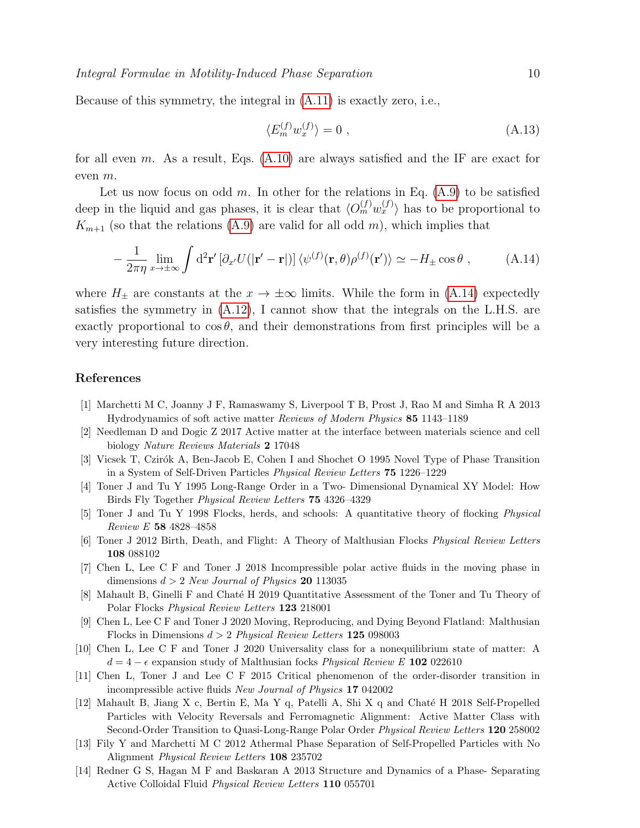Because of this symmetry, the integral in [\(A.11\)](#page-8-0) is exactly zero, i.e.,

$$
\langle E_m^{(f)} w_x^{(f)} \rangle = 0 \tag{A.13}
$$

for all even m. As a result, Eqs.  $(A.10)$  are always satisfied and the IF are exact for even m.

Let us now focus on odd m. In other for the relations in Eq.  $(A.9)$  to be satisfied deep in the liquid and gas phases, it is clear that  $\langle O_m^{(f)} w_x^{(f)} \rangle$  has to be proportional to  $K_{m+1}$  (so that the relations [\(A.9\)](#page-8-2) are valid for all odd m), which implies that

<span id="page-9-14"></span>
$$
-\frac{1}{2\pi\eta}\lim_{x\to\pm\infty}\int d^2\mathbf{r}'\left[\partial_{x'}U(|\mathbf{r}'-\mathbf{r}|)\right]\langle\psi^{(f)}(\mathbf{r},\theta)\rho^{(f)}(\mathbf{r}')\rangle \simeq -H_{\pm}\cos\theta\;, \tag{A.14}
$$

where  $H_{\pm}$  are constants at the  $x \to \pm \infty$  limits. While the form in [\(A.14\)](#page-9-14) expectedly satisfies the symmetry in [\(A.12\)](#page-8-3), I cannot show that the integrals on the L.H.S. are exactly proportional to  $\cos \theta$ , and their demonstrations from first principles will be a very interesting future direction.

## References

- <span id="page-9-0"></span>[1] Marchetti M C, Joanny J F, Ramaswamy S, Liverpool T B, Prost J, Rao M and Simha R A 2013 Hydrodynamics of soft active matter Reviews of Modern Physics 85 1143–1189
- <span id="page-9-1"></span>[2] Needleman D and Dogic Z 2017 Active matter at the interface between materials science and cell biology Nature Reviews Materials 2 17048
- <span id="page-9-2"></span>[3] Vicsek T, Czirók A, Ben-Jacob E, Cohen I and Shochet O 1995 Novel Type of Phase Transition in a System of Self-Driven Particles Physical Review Letters 75 1226–1229
- <span id="page-9-3"></span>[4] Toner J and Tu Y 1995 Long-Range Order in a Two- Dimensional Dynamical XY Model: How Birds Fly Together Physical Review Letters 75 4326–4329
- <span id="page-9-4"></span>[5] Toner J and Tu Y 1998 Flocks, herds, and schools: A quantitative theory of flocking Physical Review E 58 4828–4858
- <span id="page-9-5"></span>[6] Toner J 2012 Birth, Death, and Flight: A Theory of Malthusian Flocks Physical Review Letters 108 088102
- <span id="page-9-6"></span>[7] Chen L, Lee C F and Toner J 2018 Incompressible polar active fluids in the moving phase in dimensions  $d > 2$  New Journal of Physics 20 113035
- <span id="page-9-7"></span>[8] Mahault B, Ginelli F and Chaté H 2019 Quantitative Assessment of the Toner and Tu Theory of Polar Flocks Physical Review Letters 123 218001
- <span id="page-9-8"></span>[9] Chen L, Lee C F and Toner J 2020 Moving, Reproducing, and Dying Beyond Flatland: Malthusian Flocks in Dimensions  $d > 2$  Physical Review Letters 125 098003
- <span id="page-9-9"></span>[10] Chen L, Lee C F and Toner J 2020 Universality class for a nonequilibrium state of matter: A  $d = 4 - \epsilon$  expansion study of Malthusian focks *Physical Review E* 102 022610
- <span id="page-9-10"></span>[11] Chen L, Toner J and Lee C F 2015 Critical phenomenon of the order-disorder transition in incompressible active fluids New Journal of Physics 17 042002
- <span id="page-9-11"></span>[12] Mahault B, Jiang X c, Bertin E, Ma Y q, Patelli A, Shi X q and Chat´e H 2018 Self-Propelled Particles with Velocity Reversals and Ferromagnetic Alignment: Active Matter Class with Second-Order Transition to Quasi-Long-Range Polar Order Physical Review Letters 120 258002
- <span id="page-9-12"></span>[13] Fily Y and Marchetti M C 2012 Athermal Phase Separation of Self-Propelled Particles with No Alignment Physical Review Letters 108 235702
- <span id="page-9-13"></span>[14] Redner G S, Hagan M F and Baskaran A 2013 Structure and Dynamics of a Phase- Separating Active Colloidal Fluid Physical Review Letters 110 055701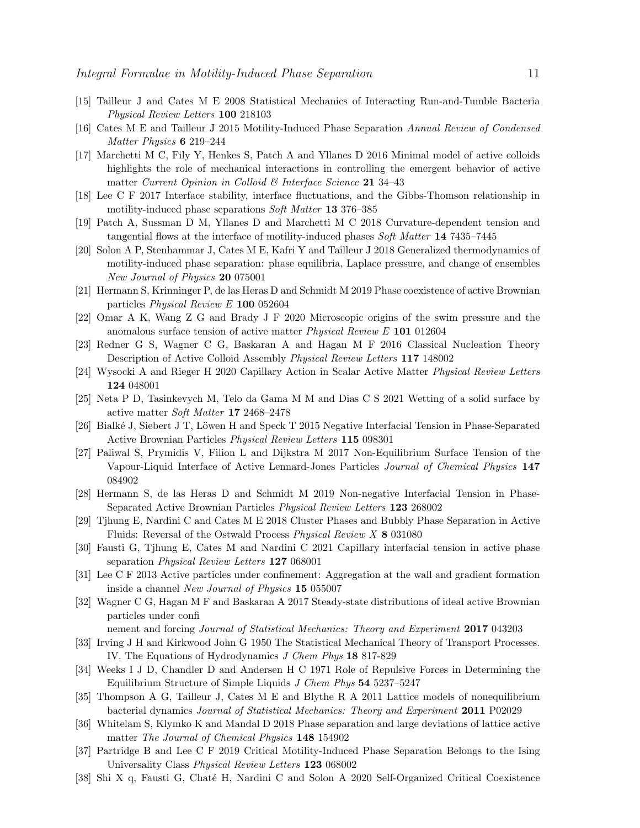- <span id="page-10-0"></span>[15] Tailleur J and Cates M E 2008 Statistical Mechanics of Interacting Run-and-Tumble Bacteria Physical Review Letters 100 218103
- <span id="page-10-1"></span>[16] Cates M E and Tailleur J 2015 Motility-Induced Phase Separation Annual Review of Condensed Matter Physics 6 219–244
- <span id="page-10-2"></span>[17] Marchetti M C, Fily Y, Henkes S, Patch A and Yllanes D 2016 Minimal model of active colloids highlights the role of mechanical interactions in controlling the emergent behavior of active matter Current Opinion in Colloid & Interface Science 21 34-43
- <span id="page-10-3"></span>[18] Lee C F 2017 Interface stability, interface fluctuations, and the Gibbs-Thomson relationship in motility-induced phase separations Soft Matter 13 376–385
- <span id="page-10-4"></span>[19] Patch A, Sussman D M, Yllanes D and Marchetti M C 2018 Curvature-dependent tension and tangential flows at the interface of motility-induced phases Soft Matter 14 7435–7445
- <span id="page-10-5"></span>[20] Solon A P, Stenhammar J, Cates M E, Kafri Y and Tailleur J 2018 Generalized thermodynamics of motility-induced phase separation: phase equilibria, Laplace pressure, and change of ensembles New Journal of Physics 20 075001
- <span id="page-10-6"></span>[21] Hermann S, Krinninger P, de las Heras D and Schmidt M 2019 Phase coexistence of active Brownian particles Physical Review E 100 052604
- <span id="page-10-7"></span>[22] Omar A K, Wang Z G and Brady J F 2020 Microscopic origins of the swim pressure and the anomalous surface tension of active matter Physical Review E 101 012604
- <span id="page-10-8"></span>[23] Redner G S, Wagner C G, Baskaran A and Hagan M F 2016 Classical Nucleation Theory Description of Active Colloid Assembly Physical Review Letters 117 148002
- <span id="page-10-9"></span>[24] Wysocki A and Rieger H 2020 Capillary Action in Scalar Active Matter Physical Review Letters 124 048001
- <span id="page-10-10"></span>[25] Neta P D, Tasinkevych M, Telo da Gama M M and Dias C S 2021 Wetting of a solid surface by active matter Soft Matter 17 2468–2478
- <span id="page-10-11"></span>[26] Bialké J, Siebert J T, Löwen H and Speck T 2015 Negative Interfacial Tension in Phase-Separated Active Brownian Particles Physical Review Letters 115 098301
- <span id="page-10-12"></span>[27] Paliwal S, Prymidis V, Filion L and Dijkstra M 2017 Non-Equilibrium Surface Tension of the Vapour-Liquid Interface of Active Lennard-Jones Particles Journal of Chemical Physics 147 084902
- <span id="page-10-13"></span>[28] Hermann S, de las Heras D and Schmidt M 2019 Non-negative Interfacial Tension in Phase-Separated Active Brownian Particles Physical Review Letters 123 268002
- <span id="page-10-14"></span>[29] Tjhung E, Nardini C and Cates M E 2018 Cluster Phases and Bubbly Phase Separation in Active Fluids: Reversal of the Ostwald Process Physical Review X 8 031080
- <span id="page-10-15"></span>[30] Fausti G, Tjhung E, Cates M and Nardini C 2021 Capillary interfacial tension in active phase separation Physical Review Letters 127 068001
- <span id="page-10-16"></span>[31] Lee C F 2013 Active particles under confinement: Aggregation at the wall and gradient formation inside a channel New Journal of Physics 15 055007
- <span id="page-10-17"></span>[32] Wagner C G, Hagan M F and Baskaran A 2017 Steady-state distributions of ideal active Brownian particles under confi

nement and forcing *Journal of Statistical Mechanics: Theory and Experiment* 2017 043203

- <span id="page-10-18"></span>[33] Irving J H and Kirkwood John G 1950 The Statistical Mechanical Theory of Transport Processes. IV. The Equations of Hydrodynamics J Chem Phys 18 817-829
- <span id="page-10-19"></span>[34] Weeks I J D, Chandler D and Andersen H C 1971 Role of Repulsive Forces in Determining the Equilibrium Structure of Simple Liquids J Chem Phys 54 5237–5247
- <span id="page-10-20"></span>[35] Thompson A G, Tailleur J, Cates M E and Blythe R A 2011 Lattice models of nonequilibrium bacterial dynamics Journal of Statistical Mechanics: Theory and Experiment 2011 P02029
- <span id="page-10-21"></span>[36] Whitelam S, Klymko K and Mandal D 2018 Phase separation and large deviations of lattice active matter The Journal of Chemical Physics 148 154902
- <span id="page-10-22"></span>[37] Partridge B and Lee C F 2019 Critical Motility-Induced Phase Separation Belongs to the Ising Universality Class Physical Review Letters 123 068002
- <span id="page-10-23"></span>[38] Shi X q, Fausti G, Chaté H, Nardini C and Solon A 2020 Self-Organized Critical Coexistence